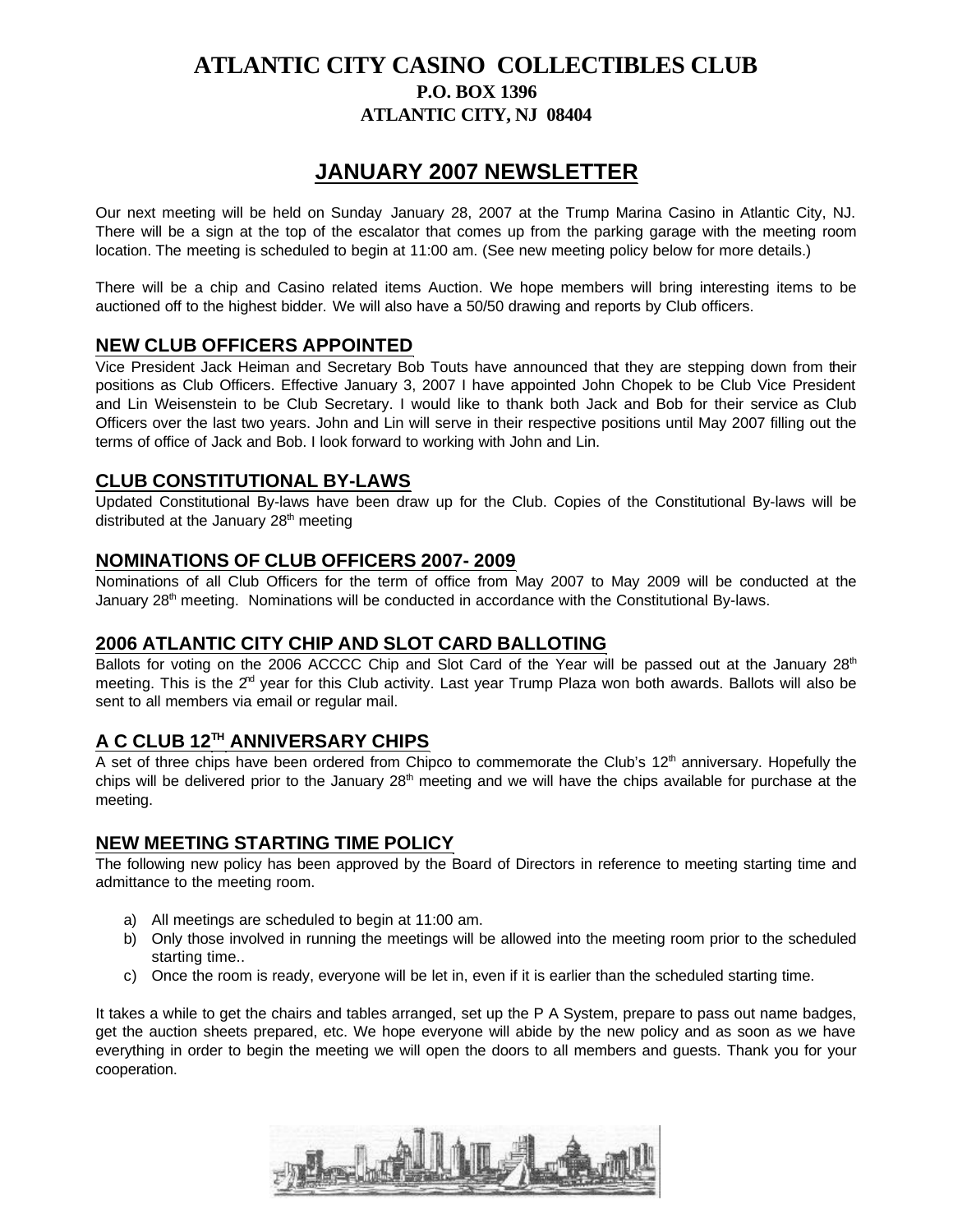## **ATLANTIC CITY CASINO COLLECTIBLES CLUB P.O. BOX 1396 ATLANTIC CITY, NJ 08404**

# **JANUARY 2007 NEWSLETTER**

Our next meeting will be held on Sunday January 28, 2007 at the Trump Marina Casino in Atlantic City, NJ. There will be a sign at the top of the escalator that comes up from the parking garage with the meeting room location. The meeting is scheduled to begin at 11:00 am. (See new meeting policy below for more details.)

There will be a chip and Casino related items Auction. We hope members will bring interesting items to be auctioned off to the highest bidder. We will also have a 50/50 drawing and reports by Club officers.

### **NEW CLUB OFFICERS APPOINTED**

Vice President Jack Heiman and Secretary Bob Touts have announced that they are stepping down from their positions as Club Officers. Effective January 3, 2007 I have appointed John Chopek to be Club Vice President and Lin Weisenstein to be Club Secretary. I would like to thank both Jack and Bob for their service as Club Officers over the last two years. John and Lin will serve in their respective positions until May 2007 filling out the terms of office of Jack and Bob. I look forward to working with John and Lin.

### **CLUB CONSTITUTIONAL BY-LAWS**

Updated Constitutional By-laws have been draw up for the Club. Copies of the Constitutional By-laws will be distributed at the January  $28<sup>th</sup>$  meeting

#### **NOMINATIONS OF CLUB OFFICERS 2007- 2009**

Nominations of all Club Officers for the term of office from May 2007 to May 2009 will be conducted at the January  $28<sup>th</sup>$  meeting. Nominations will be conducted in accordance with the Constitutional By-laws.

#### **2006 ATLANTIC CITY CHIP AND SLOT CARD BALLOTING**

Ballots for voting on the 2006 ACCCC Chip and Slot Card of the Year will be passed out at the January 28<sup>th</sup> meeting. This is the  $2^{rd}$  year for this Club activity. Last year Trump Plaza won both awards. Ballots will also be sent to all members via email or regular mail.

### **A C CLUB 12TH ANNIVERSARY CHIPS**

A set of three chips have been ordered from Chipco to commemorate the Club's 12<sup>th</sup> anniversary. Hopefully the chips will be delivered prior to the January  $28<sup>th</sup>$  meeting and we will have the chips available for purchase at the meeting.

#### **NEW MEETING STARTING TIME POLICY**

The following new policy has been approved by the Board of Directors in reference to meeting starting time and admittance to the meeting room.

- a) All meetings are scheduled to begin at 11:00 am.
- b) Only those involved in running the meetings will be allowed into the meeting room prior to the scheduled starting time..
- c) Once the room is ready, everyone will be let in, even if it is earlier than the scheduled starting time.

It takes a while to get the chairs and tables arranged, set up the P A System, prepare to pass out name badges, get the auction sheets prepared, etc. We hope everyone will abide by the new policy and as soon as we have everything in order to begin the meeting we will open the doors to all members and guests. Thank you for your cooperation.